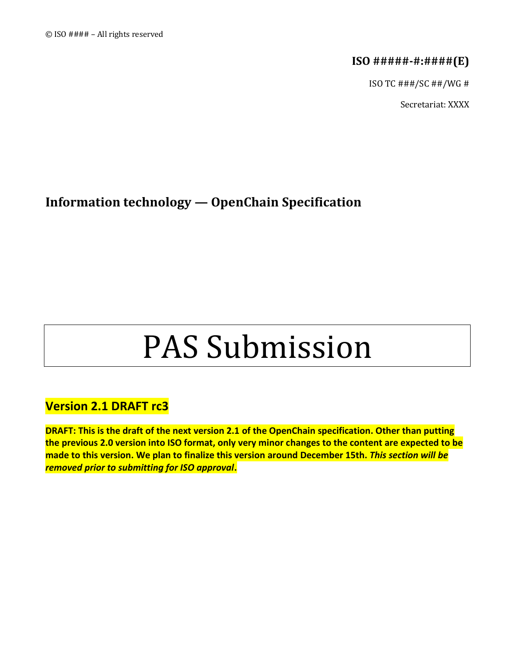**ISO #####-#:####(E)**

ISO TC ###/SC ##/WG #

Secretariat: XXXX

# **Information technology — OpenChain Specification**

# PAS Submission

# **Version 2.1 DRAFT rc3**

**DRAFT: This is the draft of the next version 2.1 of the OpenChain specification. Other than putting the previous 2.0 version into ISO format, only very minor changes to the content are expected to be made to this version. We plan to finalize this version around December 15th.** *This section will be removed prior to submitting for ISO approval***.**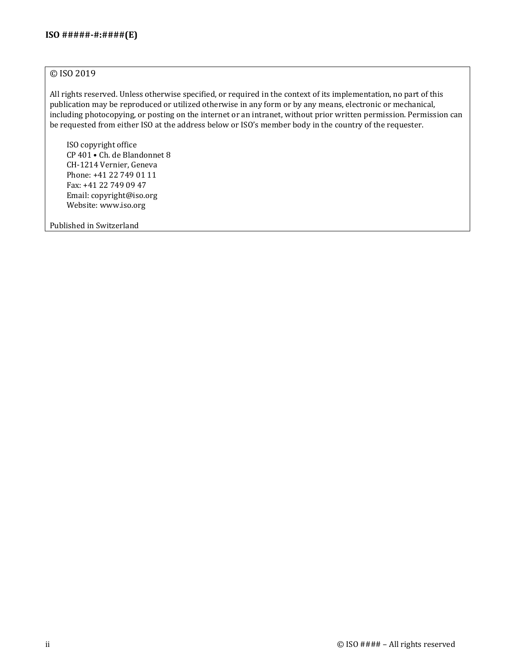#### © ISO 2019

All rights reserved. Unless otherwise specified, or required in the context of its implementation, no part of this publication may be reproduced or utilized otherwise in any form or by any means, electronic or mechanical, including photocopying, or posting on the internet or an intranet, without prior written permission. Permission can be requested from either ISO at the address below or ISO's member body in the country of the requester.

ISO copyright office CP 401 • Ch. de Blandonnet 8 CH-1214 Vernier, Geneva Phone: +41 22 749 01 11 Fax: +41 22 749 09 47 Email: copyright@iso.org Website: www.iso.org

Published in Switzerland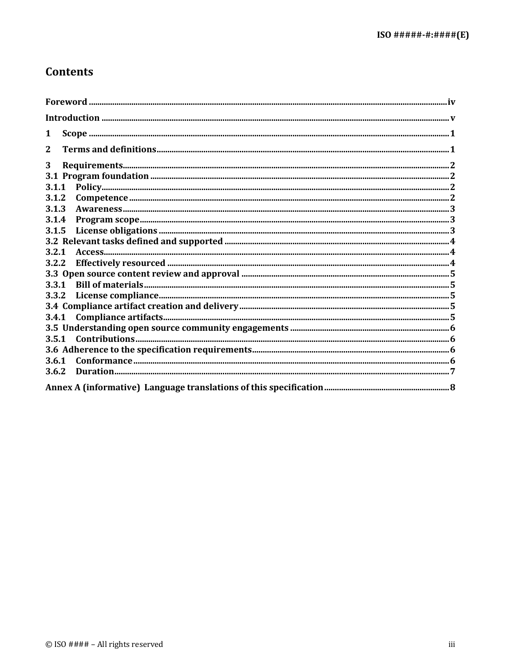# **Contents**

| 1              |
|----------------|
| $\overline{2}$ |
| 3              |
|                |
| 3.1.1          |
| 3.1.2          |
| 3.1.3          |
| 3.1.4          |
| 3.1.5          |
|                |
| 3.2.1          |
| 3.2.2          |
|                |
| 3.3.1          |
|                |
|                |
| 3.4.1          |
|                |
| 351            |
|                |
| 3.6.1          |
| 3.6.2          |
|                |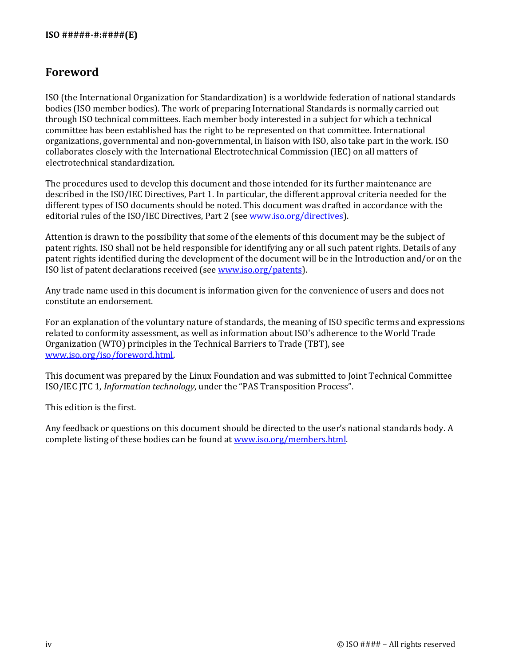# <span id="page-3-0"></span>**Foreword**

ISO (the International Organization for Standardization) is a worldwide federation of national standards bodies (ISO member bodies). The work of preparing International Standards is normally carried out through ISO technical committees. Each member body interested in a subject for which a technical committee has been established has the right to be represented on that committee. International organizations, governmental and non-governmental, in liaison with ISO, also take part in the work. ISO collaborates closely with the International Electrotechnical Commission (IEC) on all matters of electrotechnical standardization.

The procedures used to develop this document and those intended for its further maintenance are described in the ISO/IEC Directives, Part 1. In particular, the different approval criteria needed for the different types of ISO documents should be noted. This document was drafted in accordance with the editorial rules of the ISO/IEC Directives, Part 2 (see [www.iso.org/directives\)](https://www.iso.org/directives-and-policies.html).

Attention is drawn to the possibility that some of the elements of this document may be the subject of patent rights. ISO shall not be held responsible for identifying any or all such patent rights. Details of any patent rights identified during the development of the document will be in the Introduction and/or on the ISO list of patent declarations received (see [www.iso.org/patents\)](https://www.iso.org/iso-standards-and-patents.html).

Any trade name used in this document is information given for the convenience of users and does not constitute an endorsement.

For an explanation of the voluntary nature of standards, the meaning of ISO specific terms and expressions related to conformity assessment, as well as information about ISO's adherence to the World Trade Organization (WTO) principles in the Technical Barriers to Trade (TBT), see [www.iso.org/iso/foreword.html.](https://www.iso.org/foreword-supplementary-information.html)

This document was prepared by the Linux Foundation and was submitted to Joint Technical Committee ISO/IEC JTC 1, *Information technology*, under the "PAS Transposition Process".

This edition is the first.

Any feedback or questions on this document should be directed to the user's national standards body. A complete listing of these bodies can be found at [www.iso.org/members.html.](https://www.iso.org/members.html)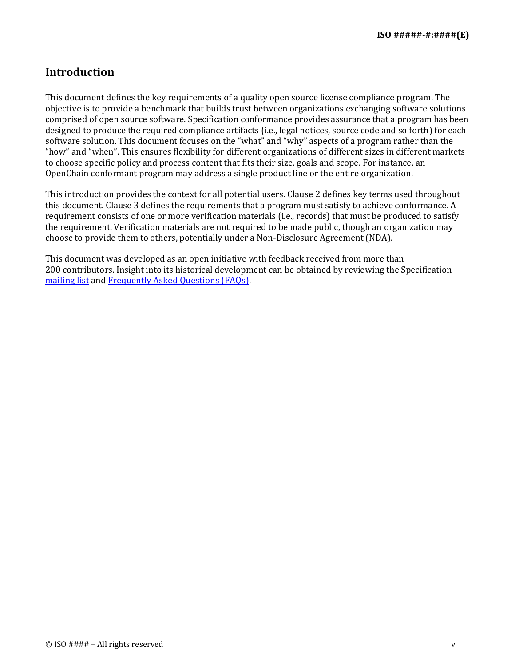# <span id="page-4-0"></span>**Introduction**

This document defines the key requirements of a quality open source license compliance program. The objective is to provide a benchmark that builds trust between organizations exchanging software solutions comprised of open source software. Specification conformance provides assurance that a program has been designed to produce the required compliance artifacts (i.e., legal notices, source code and so forth) for each software solution. This document focuses on the "what" and "why" aspects of a program rather than the "how" and "when". This ensures flexibility for different organizations of different sizes in different markets to choose specific policy and process content that fits their size, goals and scope. For instance, an OpenChain conformant program may address a single product line or the entire organization.

This introduction provides the context for all potential users. Clause [2](#page-6-1) defines key terms used throughout this document. Clause [3](#page-7-0) defines the requirements that a program must satisfy to achieve conformance. A requirement consists of one or more verification materials (i.e., records) that must be produced to satisfy the requirement. Verification materials are not required to be made public, though an organization may choose to provide them to others, potentially under a Non-Disclosure Agreement (NDA).

This document was developed as an open initiative with feedback received from more than 200 contributors. Insight into its historical development can be obtained by reviewing the Specification [mailing list](https://lists.openchainproject.org/g/specification) an[d Frequently Asked Questions](https://wiki.linuxfoundation.org/openchain/specification-questions-and-answers) (FAQs).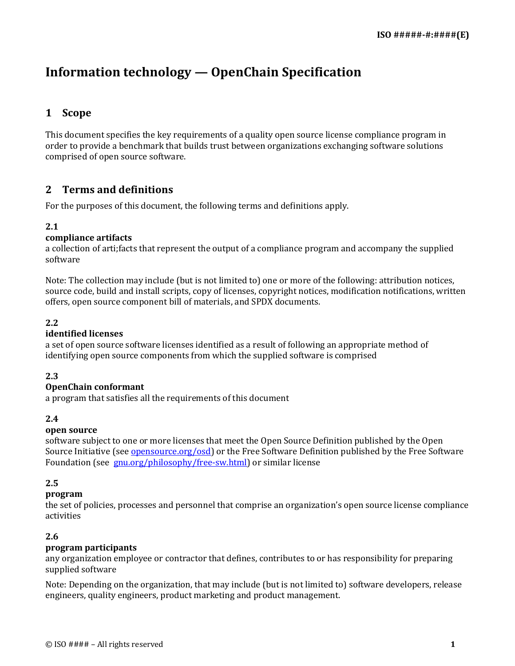# **Information technology — OpenChain Specification**

# <span id="page-6-0"></span>**1 Scope**

This document specifies the key requirements of a quality open source license compliance program in order to provide a benchmark that builds trust between organizations exchanging software solutions comprised of open source software.

# <span id="page-6-1"></span>**2 Terms and definitions**

For the purposes of this document, the following terms and definitions apply.

# **2.1**

# **compliance artifacts**

a collection of arti;facts that represent the output of a compliance program and accompany the supplied software

Note: The collection may include (but is not limited to) one or more of the following: attribution notices, source code, build and install scripts, copy of licenses, copyright notices, modification notifications, written offers, open source component bill of materials, and SPDX documents.

# **2.2**

# **identified licenses**

a set of open source software licenses identified as a result of following an appropriate method of identifying open source components from which the supplied software is comprised

# **2.3**

# **OpenChain conformant**

a program that satisfies all the requirements of this document

# **2.4**

# **open source**

software subject to one or more licenses that meet the Open Source Definition published by the Open Source Initiative (see **opensource.org/osd**) or the Free Software Definition published by the Free Software Foundation (see [gnu.org/philosophy/free-sw.html\)](https://www.gnu.org/philosophy/free-sw.html) or similar license

#### **2.5**

#### **program**

the set of policies, processes and personnel that comprise an organization's open source license compliance activities

# **2.6**

#### **program participants**

any organization employee or contractor that defines, contributes to or has responsibility for preparing supplied software

Note: Depending on the organization, that may include (but is not limited to) software developers, release engineers, quality engineers, product marketing and product management.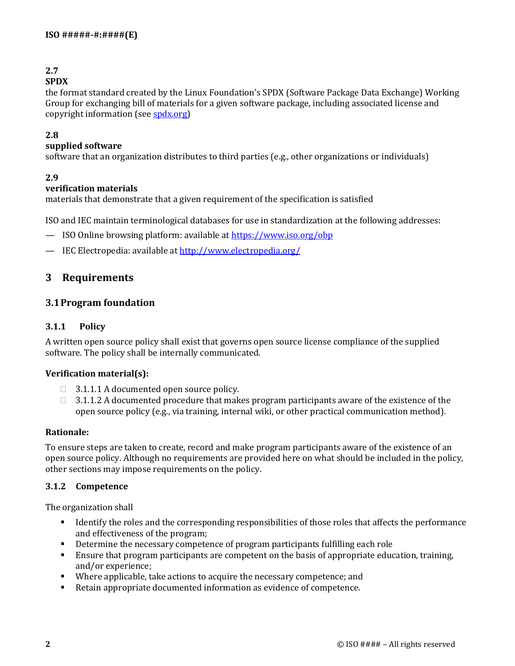# **2.7**

# **SPDX**

the format standard created by the Linux Foundation's SPDX (Software Package Data Exchange) Working Group for exchanging bill of materials for a given software package, including associated license and copyright information (see [spdx.org\)](https://spdx.org/)

# **2.8**

#### **supplied software**

software that an organization distributes to third parties (e.g., other organizations or individuals)

#### **2.9**

#### **verification materials**

materials that demonstrate that a given requirement of the specification is satisfied

ISO and IEC maintain terminological databases for use in standardization at the following addresses:

- ISO Online browsing platform: available at<https://www.iso.org/obp>
- IEC Electropedia: available a[t http://www.electropedia.org/](http://www.electropedia.org/)

# <span id="page-7-0"></span>**3 Requirements**

# <span id="page-7-1"></span>**3.1Program foundation**

#### <span id="page-7-2"></span>**3.1.1 Policy**

A written open source policy shall exist that governs open source license compliance of the supplied software. The policy shall be internally communicated.

#### **Verification material(s):**

- $\Box$  3.1.1.1 A documented open source policy.
- $\Box$  3.1.1.2 A documented procedure that makes program participants aware of the existence of the open source policy (e.g., via training, internal wiki, or other practical communication method).

#### **Rationale:**

To ensure steps are taken to create, record and make program participants aware of the existence of an open source policy. Although no requirements are provided here on what should be included in the policy, other sections may impose requirements on the policy.

#### <span id="page-7-3"></span>**3.1.2 Competence**

The organization shall

- Identify the roles and the corresponding responsibilities of those roles that affects the performance and effectiveness of the program;
- Determine the necessary competence of program participants fulfilling each role
- **Ensure that program participants are competent on the basis of appropriate education, training,** and/or experience;
- Where applicable, take actions to acquire the necessary competence; and
- Retain appropriate documented information as evidence of competence.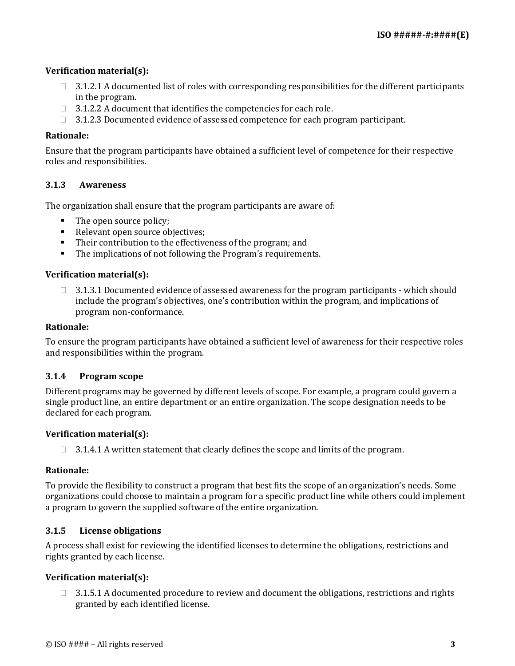# **Verification material(s):**

- $\Box$  3.1.2.1 A documented list of roles with corresponding responsibilities for the different participants in the program.
- $\Box$  3.1.2.2 A document that identifies the competencies for each role.
- $\Box$  3.1.2.3 Documented evidence of assessed competence for each program participant.

# **Rationale:**

Ensure that the program participants have obtained a sufficient level of competence for their respective roles and responsibilities.

# <span id="page-8-0"></span>**3.1.3 Awareness**

The organization shall ensure that the program participants are aware of:

- The open source policy;
- Relevant open source objectives;
- Their contribution to the effectiveness of the program; and
- The implications of not following the Program's requirements.

#### **Verification material(s):**

 $\Box$  3.1.3.1 Documented evidence of assessed awareness for the program participants - which should include the program's objectives, one's contribution within the program, and implications of program non-conformance.

#### **Rationale:**

To ensure the program participants have obtained a sufficient level of awareness for their respective roles and responsibilities within the program.

#### <span id="page-8-1"></span>**3.1.4 Program scope**

Different programs may be governed by different levels of scope. For example, a program could govern a single product line, an entire department or an entire organization. The scope designation needs to be declared for each program.

#### **Verification material(s):**

 $\Box$  3.1.4.1 A written statement that clearly defines the scope and limits of the program.

#### **Rationale:**

To provide the flexibility to construct a program that best fits the scope of an organization's needs. Some organizations could choose to maintain a program for a specific product line while others could implement a program to govern the supplied software of the entire organization.

#### <span id="page-8-2"></span>**3.1.5 License obligations**

A process shall exist for reviewing the identified licenses to determine the obligations, restrictions and rights granted by each license.

# **Verification material(s):**

 $\Box$  3.1.5.1 A documented procedure to review and document the obligations, restrictions and rights granted by each identified license.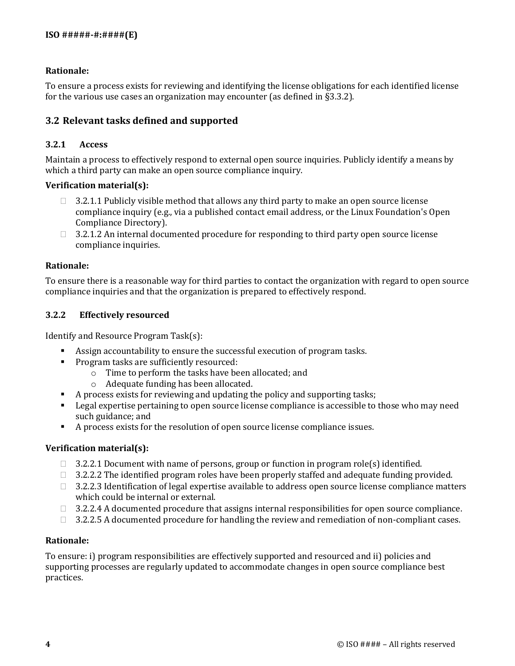#### **Rationale:**

To ensure a process exists for reviewing and identifying the license obligations for each identified license for the various use cases an organization may encounter (as defined in [§3.3.2\)](#page-10-2).

# <span id="page-9-0"></span>**3.2 Relevant tasks defined and supported**

#### <span id="page-9-1"></span>**3.2.1 Access**

Maintain a process to effectively respond to external open source inquiries. Publicly identify a means by which a third party can make an open source compliance inquiry.

#### **Verification material(s):**

- $\Box$  3.2.1.1 Publicly visible method that allows any third party to make an open source license compliance inquiry (e.g., via a published contact email address, or the Linux Foundation's Open Compliance Directory).
- $\Box$  3.2.1.2 An internal documented procedure for responding to third party open source license compliance inquiries.

#### **Rationale:**

To ensure there is a reasonable way for third parties to contact the organization with regard to open source compliance inquiries and that the organization is prepared to effectively respond.

#### <span id="page-9-2"></span>**3.2.2 Effectively resourced**

Identify and Resource Program Task(s):

- Assign accountability to ensure the successful execution of program tasks.
- **Program tasks are sufficiently resourced:** 
	- o Time to perform the tasks have been allocated; and
	- o Adequate funding has been allocated.
- A process exists for reviewing and updating the policy and supporting tasks;
- **Example 3** Legal expertise pertaining to open source license compliance is accessible to those who may need such guidance; and
- A process exists for the resolution of open source license compliance issues.

#### **Verification material(s):**

- $\Box$  3.2.2.1 Document with name of persons, group or function in program role(s) identified.
- $\Box$  3.2.2.2 The identified program roles have been properly staffed and adequate funding provided.
- $\Box$  3.2.2.3 Identification of legal expertise available to address open source license compliance matters which could be internal or external.
- $\Box$  3.2.2.4 A documented procedure that assigns internal responsibilities for open source compliance.
- $\Box$  3.2.2.5 A documented procedure for handling the review and remediation of non-compliant cases.

#### **Rationale:**

To ensure: i) program responsibilities are effectively supported and resourced and ii) policies and supporting processes are regularly updated to accommodate changes in open source compliance best practices.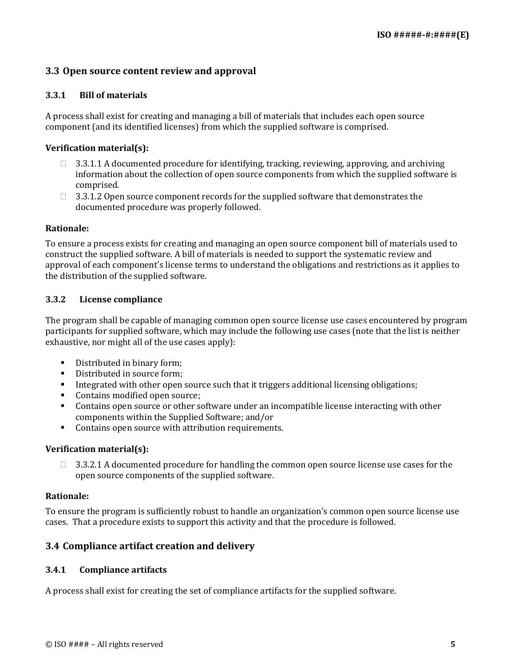# <span id="page-10-0"></span>**3.3 Open source content review and approval**

## <span id="page-10-1"></span>**3.3.1 Bill of materials**

A process shall exist for creating and managing a bill of materials that includes each open source component (and its identified licenses) from which the supplied software is comprised.

#### **Verification material(s):**

- $\Box$  3.3.1.1 A documented procedure for identifying, tracking, reviewing, approving, and archiving information about the collection of open source components from which the supplied software is comprised.
- $\Box$  3.3.1.2 Open source component records for the supplied software that demonstrates the documented procedure was properly followed.

#### **Rationale:**

To ensure a process exists for creating and managing an open source component bill of materials used to construct the supplied software. A bill of materials is needed to support the systematic review and approval of each component's license terms to understand the obligations and restrictions as it applies to the distribution of the supplied software.

#### <span id="page-10-2"></span>**3.3.2 License compliance**

The program shall be capable of managing common open source license use cases encountered by program participants for supplied software, which may include the following use cases (note that the list is neither exhaustive, nor might all of the use cases apply):

- Distributed in binary form;
- **•** Distributed in source form;
- Integrated with other open source such that it triggers additional licensing obligations;
- Contains modified open source:
- Contains open source or other software under an incompatible license interacting with other components within the Supplied Software; and/or
- **Contains open source with attribution requirements.**

#### **Verification material(s):**

 $\Box$  3.3.2.1 A documented procedure for handling the common open source license use cases for the open source components of the supplied software.

#### **Rationale:**

To ensure the program is sufficiently robust to handle an organization's common open source license use cases. That a procedure exists to support this activity and that the procedure is followed.

# <span id="page-10-3"></span>**3.4 Compliance artifact creation and delivery**

#### <span id="page-10-4"></span>**3.4.1 Compliance artifacts**

A process shall exist for creating the set of compliance artifacts for the supplied software.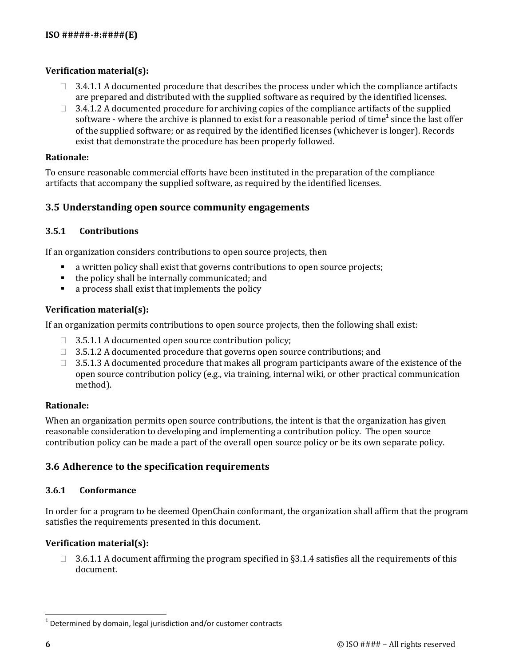# **Verification material(s):**

- $\Box$  3.4.1.1 A documented procedure that describes the process under which the compliance artifacts are prepared and distributed with the supplied software as required by the identified licenses.
- $\Box$  3.4.1.2 A documented procedure for archiving copies of the compliance artifacts of the supplied software - where the archive is planned to exist for a reasonable period of time<sup>1</sup> since the last offer of the supplied software; or as required by the identified licenses (whichever is longer). Records exist that demonstrate the procedure has been properly followed.

#### **Rationale:**

To ensure reasonable commercial efforts have been instituted in the preparation of the compliance artifacts that accompany the supplied software, as required by the identified licenses.

# <span id="page-11-0"></span>**3.5 Understanding open source community engagements**

# <span id="page-11-1"></span>**3.5.1 Contributions**

If an organization considers contributions to open source projects, then

- a written policy shall exist that governs contributions to open source projects;
- the policy shall be internally communicated; and
- a process shall exist that implements the policy

#### **Verification material(s):**

If an organization permits contributions to open source projects, then the following shall exist:

- $\Box$  3.5.1.1 A documented open source contribution policy;
- $\Box$  3.5.1.2 A documented procedure that governs open source contributions; and
- $\Box$  3.5.1.3 A documented procedure that makes all program participants aware of the existence of the open source contribution policy (e.g., via training, internal wiki, or other practical communication method).

#### **Rationale:**

When an organization permits open source contributions, the intent is that the organization has given reasonable consideration to developing and implementing a contribution policy. The open source contribution policy can be made a part of the overall open source policy or be its own separate policy.

# <span id="page-11-2"></span>**3.6 Adherence to the specification requirements**

#### <span id="page-11-3"></span>**3.6.1 Conformance**

In order for a program to be deemed OpenChain conformant, the organization shall affirm that the program satisfies the requirements presented in this document.

# **Verification material(s):**

 $\Box$  3.6.1.1 A document affirming the program specified in [§3.1.4](#page-8-1) satisfies all the requirements of this document.

l

 $<sup>1</sup>$  Determined by domain, legal jurisdiction and/or customer contracts</sup>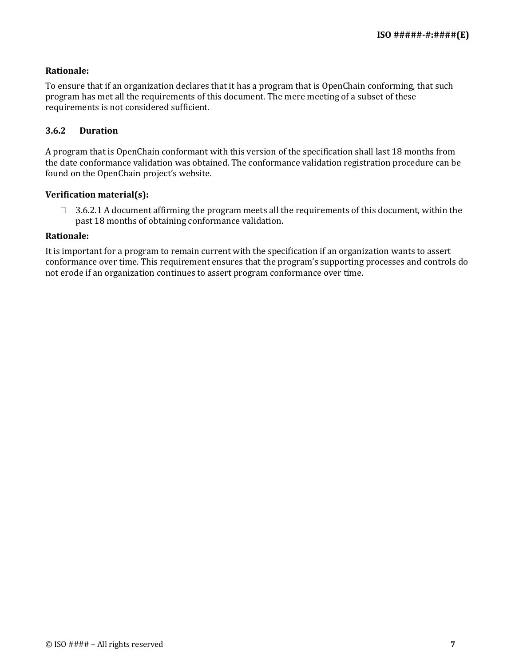# **Rationale:**

To ensure that if an organization declares that it has a program that is OpenChain conforming, that such program has met all the requirements of this document. The mere meeting of a subset of these requirements is not considered sufficient.

# <span id="page-12-0"></span>**3.6.2 Duration**

A program that is OpenChain conformant with this version of the specification shall last 18 months from the date conformance validation was obtained. The conformance validation registration procedure can be found on the OpenChain project's website.

# **Verification material(s):**

 $\Box$  3.6.2.1 A document affirming the program meets all the requirements of this document, within the past 18 months of obtaining conformance validation.

## **Rationale:**

It is important for a program to remain current with the specification if an organization wants to assert conformance over time. This requirement ensures that the program's supporting processes and controls do not erode if an organization continues to assert program conformance over time.